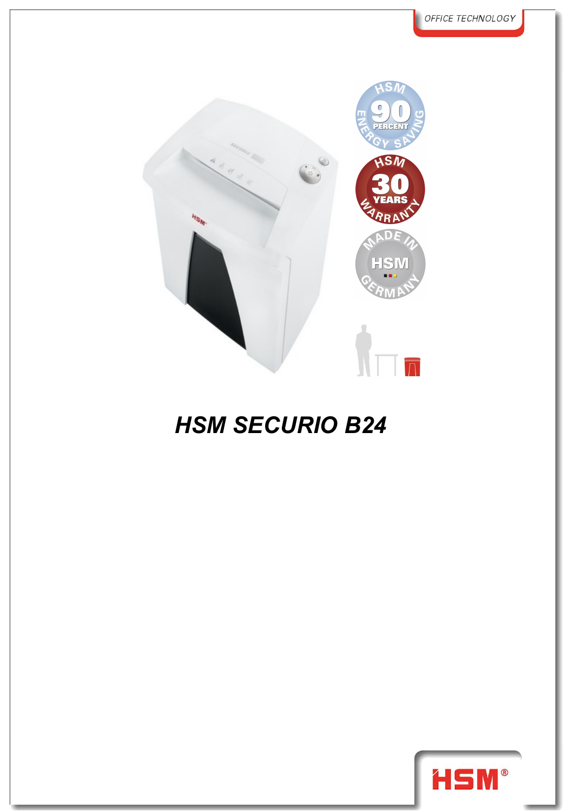

## *HSM SECURIO B24*

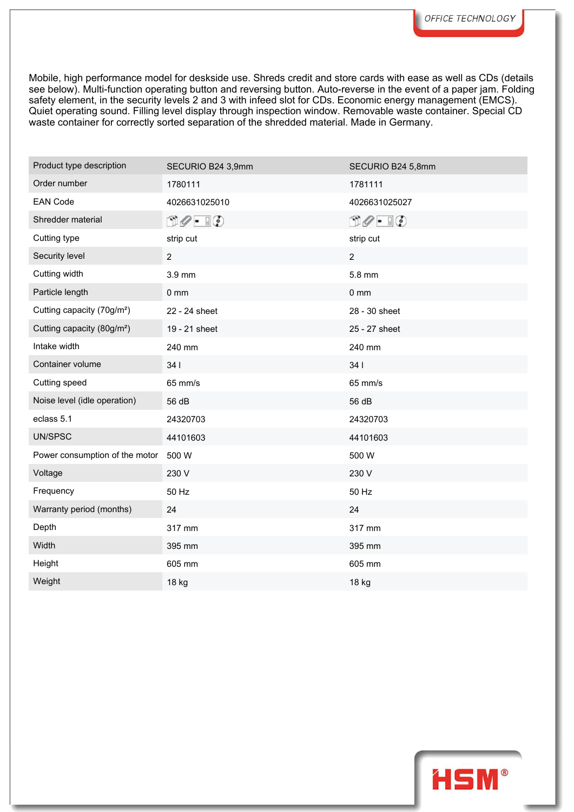Mobile, high performance model for deskside use. Shreds credit and store cards with ease as well as CDs (details see below). Multi-function operating button and reversing button. Auto-reverse in the event of a paper jam. Folding safety element, in the security levels 2 and 3 with infeed slot for CDs. Economic energy management (EMCS). Quiet operating sound. Filling level display through inspection window. Removable waste container. Special CD waste container for correctly sorted separation of the shredded material. Made in Germany.

| Product type description               | SECURIO B24 3,9mm                   | SECURIO B24 5,8mm             |
|----------------------------------------|-------------------------------------|-------------------------------|
| Order number                           | 1780111                             | 1781111                       |
| <b>EAN Code</b>                        | 4026631025010                       | 4026631025027                 |
| Shredder material                      | $\Box \oslash \cdot \ \Box \oslash$ | $\Box \oslash - \Box \oslash$ |
| Cutting type                           | strip cut                           | strip cut                     |
| Security level                         | $\overline{2}$                      | $\overline{2}$                |
| Cutting width                          | 3.9 mm                              | 5.8 mm                        |
| Particle length                        | $0 \text{ mm}$                      | $0 \text{ mm}$                |
| Cutting capacity (70g/m <sup>2</sup> ) | 22 - 24 sheet                       | 28 - 30 sheet                 |
| Cutting capacity (80g/m <sup>2</sup> ) | 19 - 21 sheet                       | 25 - 27 sheet                 |
| Intake width                           | 240 mm                              | 240 mm                        |
| Container volume                       | 341                                 | 341                           |
| Cutting speed                          | 65 mm/s                             | 65 mm/s                       |
| Noise level (idle operation)           | 56 dB                               | 56 dB                         |
| eclass 5.1                             | 24320703                            | 24320703                      |
| UN/SPSC                                | 44101603                            | 44101603                      |
| Power consumption of the motor         | 500 W                               | 500 W                         |
| Voltage                                | 230 V                               | 230 V                         |
| Frequency                              | 50 Hz                               | 50 Hz                         |
| Warranty period (months)               | 24                                  | 24                            |
| Depth                                  | 317 mm                              | 317 mm                        |
| Width                                  | 395 mm                              | 395 mm                        |
| Height                                 | 605 mm                              | 605 mm                        |
| Weight                                 | 18 kg                               | 18 kg                         |

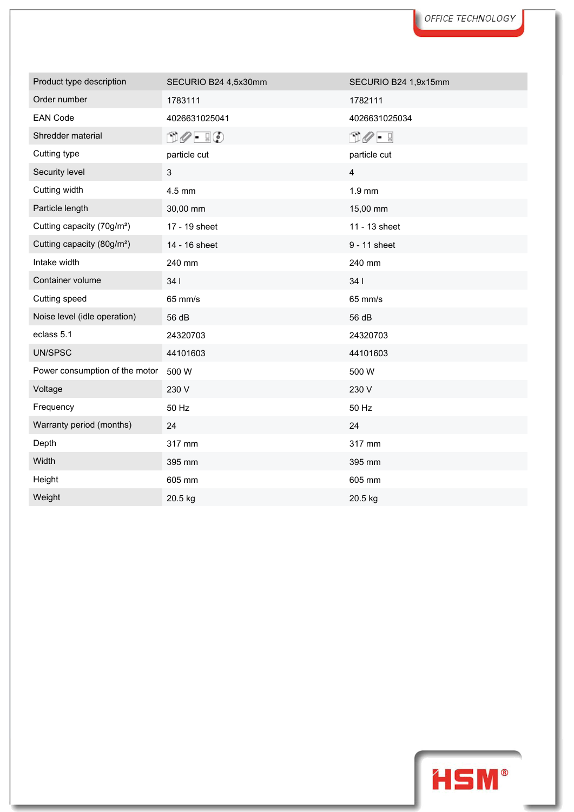| Product type description               | SECURIO B24 4,5x30mm                             | SECURIO B24 1,9x15mm            |
|----------------------------------------|--------------------------------------------------|---------------------------------|
| Order number                           | 1783111                                          | 1782111                         |
| <b>EAN Code</b>                        | 4026631025041                                    | 4026631025034                   |
| Shredder material                      | $\mathbb{D}\mathscr{O}$ - $\mathbb{F}\mathbb{Q}$ | $\cap$ $\mathscr{O}$ $\vdash$ 9 |
| Cutting type                           | particle cut                                     | particle cut                    |
| Security level                         | 3                                                | $\overline{\mathbf{4}}$         |
| Cutting width                          | 4.5 mm                                           | $1.9$ mm                        |
| Particle length                        | 30,00 mm                                         | 15,00 mm                        |
| Cutting capacity (70g/m <sup>2</sup> ) | 17 - 19 sheet                                    | 11 - 13 sheet                   |
| Cutting capacity (80g/m <sup>2</sup> ) | 14 - 16 sheet                                    | 9 - 11 sheet                    |
| Intake width                           | 240 mm                                           | 240 mm                          |
| Container volume                       | 341                                              | 34                              |
| Cutting speed                          | 65 mm/s                                          | 65 mm/s                         |
| Noise level (idle operation)           | 56 dB                                            | 56 dB                           |
| eclass 5.1                             | 24320703                                         | 24320703                        |
| UN/SPSC                                | 44101603                                         | 44101603                        |
| Power consumption of the motor         | 500 W                                            | 500 W                           |
| Voltage                                | 230 V                                            | 230 V                           |
| Frequency                              | 50 Hz                                            | 50 Hz                           |
| Warranty period (months)               | 24                                               | 24                              |
| Depth                                  | 317 mm                                           | 317 mm                          |
| Width                                  | 395 mm                                           | 395 mm                          |
| Height                                 | 605 mm                                           | 605 mm                          |
| Weight                                 | 20.5 kg                                          | 20.5 kg                         |